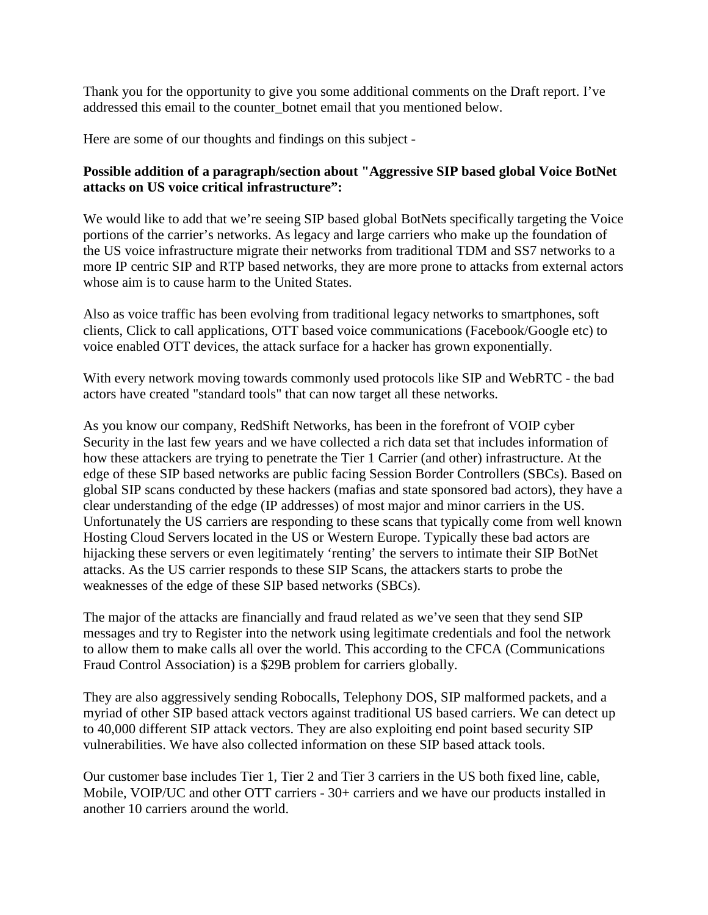Thank you for the opportunity to give you some additional comments on the Draft report. I've addressed this email to the counter\_botnet email that you mentioned below.

Here are some of our thoughts and findings on this subject -

## **Possible addition of a paragraph/section about "Aggressive SIP based global Voice BotNet attacks on US voice critical infrastructure":**

We would like to add that we're seeing SIP based global BotNets specifically targeting the Voice portions of the carrier's networks. As legacy and large carriers who make up the foundation of the US voice infrastructure migrate their networks from traditional TDM and SS7 networks to a more IP centric SIP and RTP based networks, they are more prone to attacks from external actors whose aim is to cause harm to the United States.

Also as voice traffic has been evolving from traditional legacy networks to smartphones, soft clients, Click to call applications, OTT based voice communications (Facebook/Google etc) to voice enabled OTT devices, the attack surface for a hacker has grown exponentially.

With every network moving towards commonly used protocols like SIP and WebRTC - the bad actors have created "standard tools" that can now target all these networks.

As you know our company, RedShift Networks, has been in the forefront of VOIP cyber Security in the last few years and we have collected a rich data set that includes information of how these attackers are trying to penetrate the Tier 1 Carrier (and other) infrastructure. At the edge of these SIP based networks are public facing Session Border Controllers (SBCs). Based on global SIP scans conducted by these hackers (mafias and state sponsored bad actors), they have a clear understanding of the edge (IP addresses) of most major and minor carriers in the US. Unfortunately the US carriers are responding to these scans that typically come from well known Hosting Cloud Servers located in the US or Western Europe. Typically these bad actors are hijacking these servers or even legitimately 'renting' the servers to intimate their SIP BotNet attacks. As the US carrier responds to these SIP Scans, the attackers starts to probe the weaknesses of the edge of these SIP based networks (SBCs).

The major of the attacks are financially and fraud related as we've seen that they send SIP messages and try to Register into the network using legitimate credentials and fool the network to allow them to make calls all over the world. This according to the CFCA (Communications Fraud Control Association) is a \$29B problem for carriers globally.

They are also aggressively sending Robocalls, Telephony DOS, SIP malformed packets, and a myriad of other SIP based attack vectors against traditional US based carriers. We can detect up to 40,000 different SIP attack vectors. They are also exploiting end point based security SIP vulnerabilities. We have also collected information on these SIP based attack tools.

Our customer base includes Tier 1, Tier 2 and Tier 3 carriers in the US both fixed line, cable, Mobile, VOIP/UC and other OTT carriers - 30+ carriers and we have our products installed in another 10 carriers around the world.